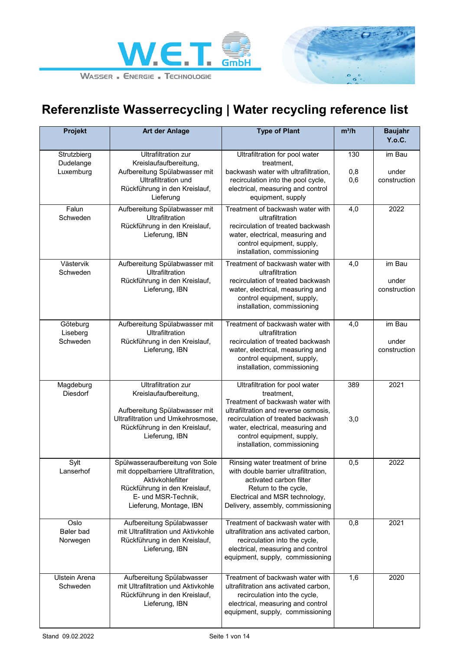



| Projekt                               | <b>Art der Anlage</b>                                                                                                                                                         | <b>Type of Plant</b>                                                                                                                                                                                                                                           | $m^3/h$           | <b>Baujahr</b><br>Y.o.C.        |
|---------------------------------------|-------------------------------------------------------------------------------------------------------------------------------------------------------------------------------|----------------------------------------------------------------------------------------------------------------------------------------------------------------------------------------------------------------------------------------------------------------|-------------------|---------------------------------|
| Strutzbierg<br>Dudelange<br>Luxemburg | <b>Ultrafiltration zur</b><br>Kreislaufaufbereitung,<br>Aufbereitung Spülabwasser mit<br><b>Ultrafiltration und</b><br>Rückführung in den Kreislauf,<br>Lieferung             | Ultrafiltration for pool water<br>treatment,<br>backwash water with ultrafiltration,<br>recirculation into the pool cycle,<br>electrical, measuring and control<br>equipment, supply                                                                           | 130<br>0,8<br>0,6 | im Bau<br>under<br>construction |
| Falun<br>Schweden                     | Aufbereitung Spülabwasser mit<br><b>Ultrafiltration</b><br>Rückführung in den Kreislauf,<br>Lieferung, IBN                                                                    | Treatment of backwash water with<br>ultrafiltration<br>recirculation of treated backwash<br>water, electrical, measuring and<br>control equipment, supply,<br>installation, commissioning                                                                      | 4,0               | 2022                            |
| Västervik<br>Schweden                 | Aufbereitung Spülabwasser mit<br>Ultrafiltration<br>Rückführung in den Kreislauf,<br>Lieferung, IBN                                                                           | Treatment of backwash water with<br>ultrafiltration<br>recirculation of treated backwash<br>water, electrical, measuring and<br>control equipment, supply,<br>installation, commissioning                                                                      | 4,0               | im Bau<br>under<br>construction |
| Göteburg<br>Liseberg<br>Schweden      | Aufbereitung Spülabwasser mit<br><b>Ultrafiltration</b><br>Rückführung in den Kreislauf,<br>Lieferung, IBN                                                                    | Treatment of backwash water with<br>ultrafiltration<br>recirculation of treated backwash<br>water, electrical, measuring and<br>control equipment, supply,<br>installation, commissioning                                                                      | 4,0               | im Bau<br>under<br>construction |
| Magdeburg<br><b>Diesdorf</b>          | <b>Ultrafiltration zur</b><br>Kreislaufaufbereitung,<br>Aufbereitung Spülabwasser mit<br>Ultrafiltration und Umkehrosmose,<br>Rückführung in den Kreislauf,<br>Lieferung, IBN | Ultrafiltration for pool water<br>treatment.<br>Treatment of backwash water with<br>ultrafiltration and reverse osmosis,<br>recirculation of treated backwash<br>water, electrical, measuring and<br>control equipment, supply,<br>installation, commissioning | 389<br>3,0        | 2021                            |
| Sylt<br>Lanserhof                     | Spülwasseraufbereitung von Sole<br>mit doppelbarriere Ultrafiltration,<br>Aktivkohlefilter<br>Rückführung in den Kreislauf,<br>E- und MSR-Technik,<br>Lieferung, Montage, IBN | Rinsing water treatment of brine<br>with double barrier ultrafiltration,<br>activated carbon filter<br>Return to the cycle,<br>Electrical and MSR technology,<br>Delivery, assembly, commissioning                                                             | 0,5               | 2022                            |
| Oslo<br>Bøler bad<br>Norwegen         | Aufbereitung Spülabwasser<br>mit Ultrafiltration und Aktivkohle<br>Rückführung in den Kreislauf,<br>Lieferung, IBN                                                            | Treatment of backwash water with<br>ultrafiltration ans activated carbon,<br>recirculation into the cycle,<br>electrical, measuring and control<br>equipment, supply, commissioning                                                                            | 0,8               | 2021                            |
| <b>Ulstein Arena</b><br>Schweden      | Aufbereitung Spülabwasser<br>mit Ultrafiltration und Aktivkohle<br>Rückführung in den Kreislauf,<br>Lieferung, IBN                                                            | Treatment of backwash water with<br>ultrafiltration ans activated carbon,<br>recirculation into the cycle,<br>electrical, measuring and control<br>equipment, supply, commissioning                                                                            | 1,6               | 2020                            |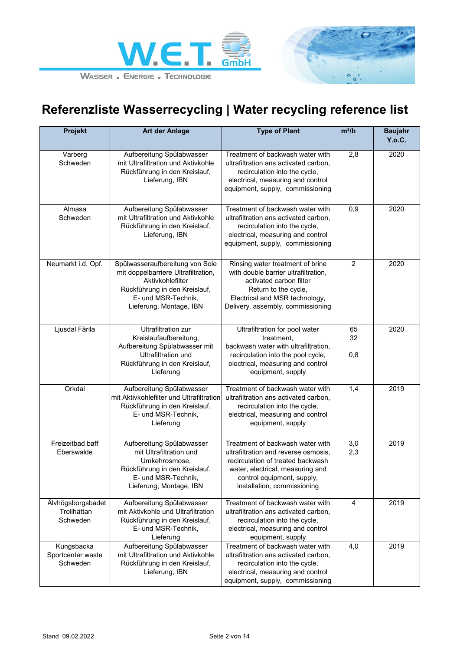



| <b>Projekt</b>                               | <b>Art der Anlage</b>                                                                                                                                                         | <b>Type of Plant</b>                                                                                                                                                                                           | $m^3/h$         | <b>Baujahr</b><br>Y.o.C. |
|----------------------------------------------|-------------------------------------------------------------------------------------------------------------------------------------------------------------------------------|----------------------------------------------------------------------------------------------------------------------------------------------------------------------------------------------------------------|-----------------|--------------------------|
| Varberg<br>Schweden                          | Aufbereitung Spülabwasser<br>mit Ultrafiltration und Aktivkohle<br>Rückführung in den Kreislauf,<br>Lieferung, IBN                                                            | Treatment of backwash water with<br>ultrafiltration ans activated carbon,<br>recirculation into the cycle,<br>electrical, measuring and control<br>equipment, supply, commissioning                            | 2,8             | 2020                     |
| Almasa<br>Schweden                           | Aufbereitung Spülabwasser<br>mit Ultrafiltration und Aktivkohle<br>Rückführung in den Kreislauf,<br>Lieferung, IBN                                                            | Treatment of backwash water with<br>ultrafiltration ans activated carbon,<br>recirculation into the cycle,<br>electrical, measuring and control<br>equipment, supply, commissioning                            | 0,9             | 2020                     |
| Neumarkt i.d. Opf.                           | Spülwasseraufbereitung von Sole<br>mit doppelbarriere Ultrafiltration,<br>Aktivkohlefilter<br>Rückführung in den Kreislauf,<br>E- und MSR-Technik,<br>Lieferung, Montage, IBN | Rinsing water treatment of brine<br>with double barrier ultrafiltration,<br>activated carbon filter<br>Return to the cycle,<br>Electrical and MSR technology,<br>Delivery, assembly, commissioning             | $\overline{c}$  | 2020                     |
| Ljusdal Färila                               | <b>Ultrafiltration zur</b><br>Kreislaufaufbereitung,<br>Aufbereitung Spülabwasser mit<br><b>Ultrafiltration und</b><br>Rückführung in den Kreislauf,<br>Lieferung             | Ultrafiltration for pool water<br>treatment,<br>backwash water with ultrafiltration,<br>recirculation into the pool cycle,<br>electrical, measuring and control<br>equipment, supply                           | 65<br>32<br>0,8 | 2020                     |
| Orkdal                                       | Aufbereitung Spülabwasser<br>mit Aktivkohlefilter und Ultrafiltration<br>Rückführung in den Kreislauf,<br>E- und MSR-Technik,<br>Lieferung                                    | Treatment of backwash water with<br>ultrafiltration ans activated carbon,<br>recirculation into the cycle,<br>electrical, measuring and control<br>equipment, supply                                           | 1,4             | 2019                     |
| Freizeitbad baff<br>Eberswalde               | Aufbereitung Spülabwasser<br>mit Ultrafiltration und<br>Umkehrosmose,<br>Rückführung in den Kreislauf,<br>E- und MSR-Technik,<br>Lieferung, Montage, IBN                      | Treatment of backwash water with<br>ultrafiltration and reverse osmosis,<br>recirculation of treated backwash<br>water, electrical, measuring and<br>control equipment, supply,<br>installation, commissioning | 3,0<br>2,3      | 2019                     |
| Älvhögsborgsbadet<br>Trollhättan<br>Schweden | Aufbereitung Spülabwasser<br>mit Aktivkohle und Ultrafiltration<br>Rückführung in den Kreislauf,<br>E- und MSR-Technik,<br>Lieferung                                          | Treatment of backwash water with<br>ultrafiltration ans activated carbon,<br>recirculation into the cycle,<br>electrical, measuring and control<br>equipment, supply                                           | 4               | 2019                     |
| Kungsbacka<br>Sportcenter waste<br>Schweden  | Aufbereitung Spülabwasser<br>mit Ultrafiltration und Aktivkohle<br>Rückführung in den Kreislauf,<br>Lieferung, IBN                                                            | Treatment of backwash water with<br>ultrafiltration ans activated carbon,<br>recirculation into the cycle,<br>electrical, measuring and control<br>equipment, supply, commissioning                            | 4,0             | 2019                     |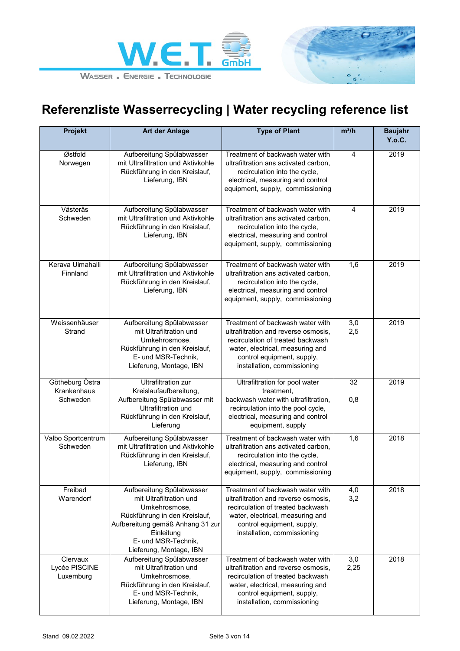



| Projekt                                    | <b>Art der Anlage</b>                                                                                                                                                                                      | <b>Type of Plant</b>                                                                                                                                                                                           | $m^3/h$     | <b>Baujahr</b><br>Y.o.C. |
|--------------------------------------------|------------------------------------------------------------------------------------------------------------------------------------------------------------------------------------------------------------|----------------------------------------------------------------------------------------------------------------------------------------------------------------------------------------------------------------|-------------|--------------------------|
| Østfold<br>Norwegen                        | Aufbereitung Spülabwasser<br>mit Ultrafiltration und Aktivkohle<br>Rückführung in den Kreislauf,<br>Lieferung, IBN                                                                                         | Treatment of backwash water with<br>ultrafiltration ans activated carbon,<br>recirculation into the cycle,<br>electrical, measuring and control<br>equipment, supply, commissioning                            | 4           | 2019                     |
| Västerås<br>Schweden                       | Aufbereitung Spülabwasser<br>mit Ultrafiltration und Aktivkohle<br>Rückführung in den Kreislauf,<br>Lieferung, IBN                                                                                         | Treatment of backwash water with<br>ultrafiltration ans activated carbon,<br>recirculation into the cycle,<br>electrical, measuring and control<br>equipment, supply, commissioning                            | 4           | 2019                     |
| Kerava Uimahalli<br>Finnland               | Aufbereitung Spülabwasser<br>mit Ultrafiltration und Aktivkohle<br>Rückführung in den Kreislauf,<br>Lieferung, IBN                                                                                         | Treatment of backwash water with<br>ultrafiltration ans activated carbon,<br>recirculation into the cycle,<br>electrical, measuring and control<br>equipment, supply, commissioning                            | 1,6         | 2019                     |
| Weissenhäuser<br>Strand                    | Aufbereitung Spülabwasser<br>mit Ultrafiltration und<br>Umkehrosmose,<br>Rückführung in den Kreislauf,<br>E- und MSR-Technik,<br>Lieferung, Montage, IBN                                                   | Treatment of backwash water with<br>ultrafiltration and reverse osmosis,<br>recirculation of treated backwash<br>water, electrical, measuring and<br>control equipment, supply,<br>installation, commissioning | 3,0<br>2,5  | 2019                     |
| Götheburg Östra<br>Krankenhaus<br>Schweden | <b>Ultrafiltration zur</b><br>Kreislaufaufbereitung,<br>Aufbereitung Spülabwasser mit<br>Ultrafiltration und<br>Rückführung in den Kreislauf,<br>Lieferung                                                 | Ultrafiltration for pool water<br>treatment,<br>backwash water with ultrafiltration,<br>recirculation into the pool cycle,<br>electrical, measuring and control<br>equipment, supply                           | 32<br>0,8   | 2019                     |
| Valbo Sportcentrum<br>Schweden             | Aufbereitung Spülabwasser<br>mit Ultrafiltration und Aktivkohle<br>Rückführung in den Kreislauf,<br>Lieferung, IBN                                                                                         | Treatment of backwash water with<br>ultrafiltration ans activated carbon,<br>recirculation into the cycle,<br>electrical, measuring and control<br>equipment, supply, commissioning                            | 1,6         | 2018                     |
| Freibad<br>Warendorf                       | Aufbereitung Spülabwasser<br>mit Ultrafiltration und<br>Umkehrosmose,<br>Rückführung in den Kreislauf,<br>Aufbereitung gemäß Anhang 31 zur<br>Einleitung<br>E- und MSR-Technik,<br>Lieferung, Montage, IBN | Treatment of backwash water with<br>ultrafiltration and reverse osmosis,<br>recirculation of treated backwash<br>water, electrical, measuring and<br>control equipment, supply,<br>installation, commissioning | 4,0<br>3,2  | 2018                     |
| Clervaux<br>Lycée PISCINE<br>Luxemburg     | Aufbereitung Spülabwasser<br>mit Ultrafiltration und<br>Umkehrosmose,<br>Rückführung in den Kreislauf,<br>E- und MSR-Technik,<br>Lieferung, Montage, IBN                                                   | Treatment of backwash water with<br>ultrafiltration and reverse osmosis.<br>recirculation of treated backwash<br>water, electrical, measuring and<br>control equipment, supply,<br>installation, commissioning | 3,0<br>2,25 | 2018                     |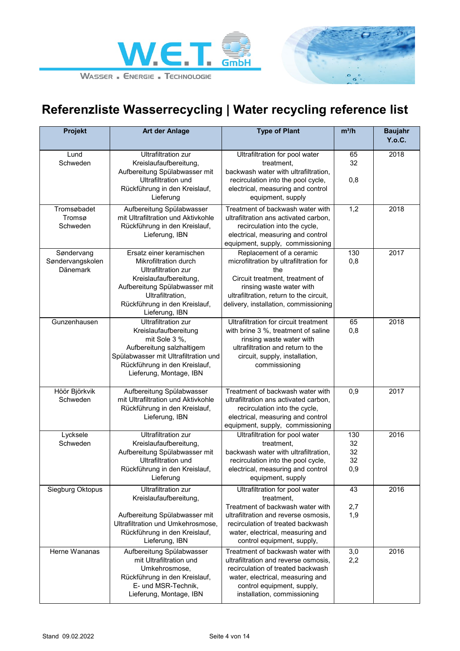



| Projekt                                    | <b>Art der Anlage</b>                                                                                                                                                                                      | <b>Type of Plant</b>                                                                                                                                                                                                            | $m^3/h$                      | <b>Baujahr</b> |
|--------------------------------------------|------------------------------------------------------------------------------------------------------------------------------------------------------------------------------------------------------------|---------------------------------------------------------------------------------------------------------------------------------------------------------------------------------------------------------------------------------|------------------------------|----------------|
|                                            |                                                                                                                                                                                                            |                                                                                                                                                                                                                                 |                              | Y.o.C.         |
| Lund<br>Schweden                           | <b>Ultrafiltration zur</b><br>Kreislaufaufbereitung,<br>Aufbereitung Spülabwasser mit                                                                                                                      | Ultrafiltration for pool water<br>treatment.<br>backwash water with ultrafiltration,                                                                                                                                            | 65<br>32                     | 2018           |
|                                            | <b>Ultrafiltration und</b><br>Rückführung in den Kreislauf,<br>Lieferung                                                                                                                                   | recirculation into the pool cycle,<br>electrical, measuring and control<br>equipment, supply                                                                                                                                    | 0,8                          |                |
| Tromsøbadet<br>Tromsø<br>Schweden          | Aufbereitung Spülabwasser<br>mit Ultrafiltration und Aktivkohle<br>Rückführung in den Kreislauf,<br>Lieferung, IBN                                                                                         | Treatment of backwash water with<br>ultrafiltration ans activated carbon,<br>recirculation into the cycle,<br>electrical, measuring and control<br>equipment, supply, commissioning                                             | 1,2                          | 2018           |
| Søndervang<br>Søndervangskolen<br>Dänemark | Ersatz einer keramischen<br>Mikrofiltration durch<br>Ultrafiltration zur<br>Kreislaufaufbereitung,<br>Aufbereitung Spülabwasser mit<br>Ultrafiltration,<br>Rückführung in den Kreislauf,<br>Lieferung, IBN | Replacement of a ceramic<br>microfiltration by ultrafiltration for<br>the<br>Circuit treatment, treatment of<br>rinsing waste water with<br>ultrafiltration, return to the circuit,<br>delivery, installation, commissioning    | 130<br>0,8                   | 2017           |
| Gunzenhausen                               | <b>Ultrafiltration zur</b><br>Kreislaufaufbereitung<br>mit Sole 3 %,<br>Aufbereitung salzhaltigem<br>Spülabwasser mit Ultrafiltration und<br>Rückführung in den Kreislauf,<br>Lieferung, Montage, IBN      | Ultrafiltration for circuit treatment<br>with brine 3 %, treatment of saline<br>rinsing waste water with<br>ultrafiltration and return to the<br>circuit, supply, installation,<br>commissioning                                | 65<br>0,8                    | 2018           |
| Höör Björkvik<br>Schweden                  | Aufbereitung Spülabwasser<br>mit Ultrafiltration und Aktivkohle<br>Rückführung in den Kreislauf,<br>Lieferung, IBN                                                                                         | Treatment of backwash water with<br>ultrafiltration ans activated carbon,<br>recirculation into the cycle,<br>electrical, measuring and control<br>equipment, supply, commissioning                                             | 0,9                          | 2017           |
| Lycksele<br>Schweden                       | <b>Ultrafiltration zur</b><br>Kreislaufaufbereitung,<br>Aufbereitung Spülabwasser mit<br>Ultrafiltration und<br>Rückführung in den Kreislauf,<br>Lieferung                                                 | Ultrafiltration for pool water<br>treatment,<br>backwash water with ultrafiltration,<br>recirculation into the pool cycle,<br>electrical, measuring and control<br>equipment, supply                                            | 130<br>32<br>32<br>32<br>0,9 | 2016           |
| Siegburg Oktopus                           | <b>Ultrafiltration zur</b><br>Kreislaufaufbereitung,<br>Aufbereitung Spülabwasser mit<br>Ultrafiltration und Umkehrosmose,<br>Rückführung in den Kreislauf,<br>Lieferung, IBN                              | Ultrafiltration for pool water<br>treatment,<br>Treatment of backwash water with<br>ultrafiltration and reverse osmosis,<br>recirculation of treated backwash<br>water, electrical, measuring and<br>control equipment, supply, | 43<br>2,7<br>1,9             | 2016           |
| Herne Wananas                              | Aufbereitung Spülabwasser<br>mit Ultrafiltration und<br>Umkehrosmose,<br>Rückführung in den Kreislauf,<br>E- und MSR-Technik,<br>Lieferung, Montage, IBN                                                   | Treatment of backwash water with<br>ultrafiltration and reverse osmosis,<br>recirculation of treated backwash<br>water, electrical, measuring and<br>control equipment, supply,<br>installation, commissioning                  | 3,0<br>2,2                   | 2016           |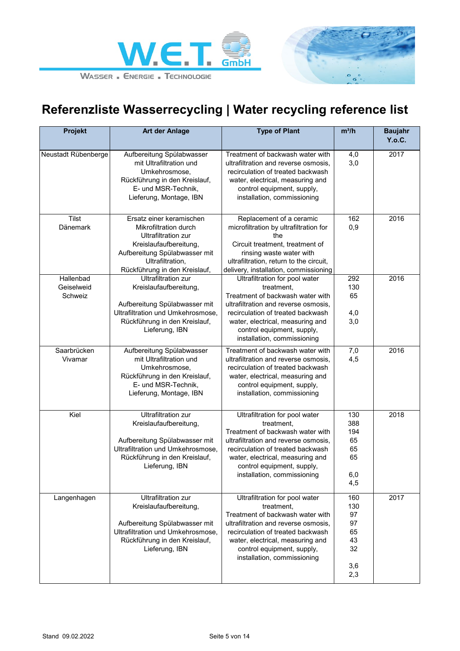



| <b>Projekt</b>                     | Art der Anlage                                                                                                                                                                                  | <b>Type of Plant</b>                                                                                                                                                                                                                                           | $m^3/h$                                                | <b>Baujahr</b><br>Y.o.C. |
|------------------------------------|-------------------------------------------------------------------------------------------------------------------------------------------------------------------------------------------------|----------------------------------------------------------------------------------------------------------------------------------------------------------------------------------------------------------------------------------------------------------------|--------------------------------------------------------|--------------------------|
| Neustadt Rübenberge                | Aufbereitung Spülabwasser<br>mit Ultrafiltration und<br>Umkehrosmose,<br>Rückführung in den Kreislauf,<br>E- und MSR-Technik,<br>Lieferung, Montage, IBN                                        | Treatment of backwash water with<br>ultrafiltration and reverse osmosis.<br>recirculation of treated backwash<br>water, electrical, measuring and<br>control equipment, supply,<br>installation, commissioning                                                 | 4,0<br>3,0                                             | 2017                     |
| <b>Tilst</b><br><b>Dänemark</b>    | Ersatz einer keramischen<br><b>Mikrofiltration durch</b><br>Ultrafiltration zur<br>Kreislaufaufbereitung,<br>Aufbereitung Spülabwasser mit<br>Ultrafiltration,<br>Rückführung in den Kreislauf, | Replacement of a ceramic<br>microfiltration by ultrafiltration for<br>the<br>Circuit treatment, treatment of<br>rinsing waste water with<br>ultrafiltration, return to the circuit,<br>delivery, installation, commissioning                                   | 162<br>0,9                                             | 2016                     |
| Hallenbad<br>Geiselweid<br>Schweiz | <b>Ultrafiltration zur</b><br>Kreislaufaufbereitung,<br>Aufbereitung Spülabwasser mit<br>Ultrafiltration und Umkehrosmose,<br>Rückführung in den Kreislauf,<br>Lieferung, IBN                   | Ultrafiltration for pool water<br>treatment.<br>Treatment of backwash water with<br>ultrafiltration and reverse osmosis,<br>recirculation of treated backwash<br>water, electrical, measuring and<br>control equipment, supply,<br>installation, commissioning | 292<br>130<br>65<br>4,0<br>3,0                         | 2016                     |
| Saarbrücken<br>Vivamar             | Aufbereitung Spülabwasser<br>mit Ultrafiltration und<br>Umkehrosmose,<br>Rückführung in den Kreislauf,<br>E- und MSR-Technik,<br>Lieferung, Montage, IBN                                        | Treatment of backwash water with<br>ultrafiltration and reverse osmosis,<br>recirculation of treated backwash<br>water, electrical, measuring and<br>control equipment, supply,<br>installation, commissioning                                                 | 7,0<br>4,5                                             | 2016                     |
| Kiel                               | <b>Ultrafiltration zur</b><br>Kreislaufaufbereitung,<br>Aufbereitung Spülabwasser mit<br>Ultrafiltration und Umkehrosmose,<br>Rückführung in den Kreislauf,<br>Lieferung, IBN                   | Ultrafiltration for pool water<br>treatment.<br>Treatment of backwash water with<br>ultrafiltration and reverse osmosis.<br>recirculation of treated backwash<br>water, electrical, measuring and<br>control equipment, supply,<br>installation, commissioning | 130<br>388<br>194<br>65<br>65<br>65<br>6,0<br>4,5      | 2018                     |
| Langenhagen                        | <b>Ultrafiltration zur</b><br>Kreislaufaufbereitung,<br>Aufbereitung Spülabwasser mit<br>Ultrafiltration und Umkehrosmose,<br>Rückführung in den Kreislauf,<br>Lieferung, IBN                   | Ultrafiltration for pool water<br>treatment,<br>Treatment of backwash water with<br>ultrafiltration and reverse osmosis,<br>recirculation of treated backwash<br>water, electrical, measuring and<br>control equipment, supply,<br>installation, commissioning | 160<br>130<br>97<br>97<br>65<br>43<br>32<br>3,6<br>2,3 | 2017                     |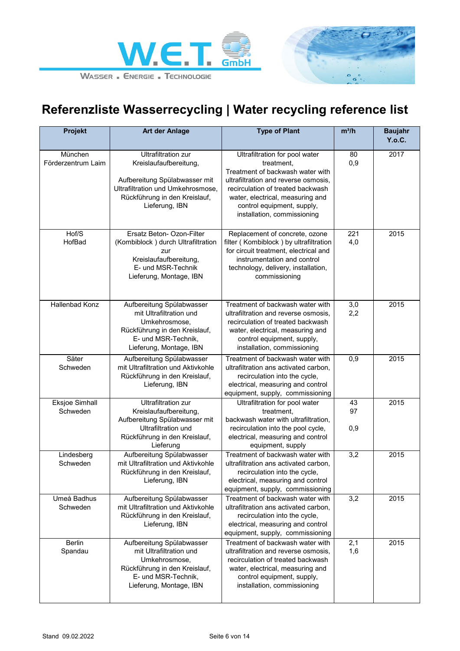



| Projekt                           | <b>Art der Anlage</b>                                                                                                                                                         | <b>Type of Plant</b>                                                                                                                                                                                                                                           | $m^3/h$         | <b>Baujahr</b><br>Y.o.C. |
|-----------------------------------|-------------------------------------------------------------------------------------------------------------------------------------------------------------------------------|----------------------------------------------------------------------------------------------------------------------------------------------------------------------------------------------------------------------------------------------------------------|-----------------|--------------------------|
| München<br>Förderzentrum Laim     | <b>Ultrafiltration zur</b><br>Kreislaufaufbereitung,<br>Aufbereitung Spülabwasser mit<br>Ultrafiltration und Umkehrosmose.<br>Rückführung in den Kreislauf,<br>Lieferung, IBN | Ultrafiltration for pool water<br>treatment,<br>Treatment of backwash water with<br>ultrafiltration and reverse osmosis,<br>recirculation of treated backwash<br>water, electrical, measuring and<br>control equipment, supply,<br>installation, commissioning | 80<br>0,9       | 2017                     |
| Hof/S<br>HofBad                   | Ersatz Beton-Ozon-Filter<br>(Kombiblock) durch Ultrafiltration<br>zur<br>Kreislaufaufbereitung,<br>E- und MSR-Technik<br>Lieferung, Montage, IBN                              | Replacement of concrete, ozone<br>filter (Kombiblock) by ultrafiltration<br>for circuit treatment, electrical and<br>instrumentation and control<br>technology, delivery, installation,<br>commissioning                                                       | 221<br>4,0      | 2015                     |
| Hallenbad Konz                    | Aufbereitung Spülabwasser<br>mit Ultrafiltration und<br>Umkehrosmose,<br>Rückführung in den Kreislauf,<br>E- und MSR-Technik,<br>Lieferung, Montage, IBN                      | Treatment of backwash water with<br>ultrafiltration and reverse osmosis,<br>recirculation of treated backwash<br>water, electrical, measuring and<br>control equipment, supply,<br>installation, commissioning                                                 | 3,0<br>2,2      | 2015                     |
| Säter<br>Schweden                 | Aufbereitung Spülabwasser<br>mit Ultrafiltration und Aktivkohle<br>Rückführung in den Kreislauf,<br>Lieferung, IBN                                                            | Treatment of backwash water with<br>ultrafiltration ans activated carbon,<br>recirculation into the cycle,<br>electrical, measuring and control<br>equipment, supply, commissioning                                                                            | 0,9             | 2015                     |
| <b>Eksjoe Simhall</b><br>Schweden | <b>Ultrafiltration zur</b><br>Kreislaufaufbereitung,<br>Aufbereitung Spülabwasser mit<br><b>Ultrafiltration und</b><br>Rückführung in den Kreislauf,<br>Lieferung             | Ultrafiltration for pool water<br>treatment.<br>backwash water with ultrafiltration,<br>recirculation into the pool cycle,<br>electrical, measuring and control<br>equipment, supply                                                                           | 43<br>97<br>0,9 | 2015                     |
| Lindesberg<br>Schweden            | Aufbereitung Spülabwasser<br>mit Ultrafiltration und Aktivkohle<br>Rückführung in den Kreislauf,<br>Lieferung, IBN                                                            | Treatment of backwash water with<br>ultrafiltration ans activated carbon,<br>recirculation into the cycle,<br>electrical, measuring and control<br>equipment, supply, commissioning                                                                            | 3,2             | 2015                     |
| Umeå Badhus<br>Schweden           | Aufbereitung Spülabwasser<br>mit Ultrafiltration und Aktivkohle<br>Rückführung in den Kreislauf,<br>Lieferung, IBN                                                            | Treatment of backwash water with<br>ultrafiltration ans activated carbon,<br>recirculation into the cycle,<br>electrical, measuring and control<br>equipment, supply, commissioning                                                                            | 3,2             | 2015                     |
| <b>Berlin</b><br>Spandau          | Aufbereitung Spülabwasser<br>mit Ultrafiltration und<br>Umkehrosmose.<br>Rückführung in den Kreislauf,<br>E- und MSR-Technik,<br>Lieferung, Montage, IBN                      | Treatment of backwash water with<br>ultrafiltration and reverse osmosis.<br>recirculation of treated backwash<br>water, electrical, measuring and<br>control equipment, supply,<br>installation, commissioning                                                 | 2,1<br>1,6      | 2015                     |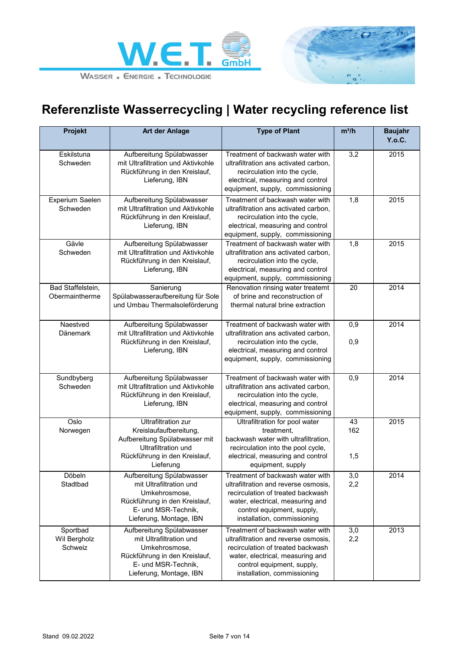



| Projekt                             | <b>Art der Anlage</b>                                                                                                                         | <b>Type of Plant</b>                                                                                                                                                                | $m^3/h$          | <b>Baujahr</b><br>Y.o.C. |
|-------------------------------------|-----------------------------------------------------------------------------------------------------------------------------------------------|-------------------------------------------------------------------------------------------------------------------------------------------------------------------------------------|------------------|--------------------------|
| Eskilstuna<br>Schweden              | Aufbereitung Spülabwasser<br>mit Ultrafiltration und Aktivkohle<br>Rückführung in den Kreislauf,<br>Lieferung, IBN                            | Treatment of backwash water with<br>ultrafiltration ans activated carbon,<br>recirculation into the cycle,<br>electrical, measuring and control<br>equipment, supply, commissioning | $\overline{3,2}$ | 2015                     |
| Experium Saelen<br>Schweden         | Aufbereitung Spülabwasser<br>mit Ultrafiltration und Aktivkohle<br>Rückführung in den Kreislauf,<br>Lieferung, IBN                            | Treatment of backwash water with<br>ultrafiltration ans activated carbon,<br>recirculation into the cycle,<br>electrical, measuring and control<br>equipment, supply, commissioning | 1,8              | 2015                     |
| Gävle<br>Schweden                   | Aufbereitung Spülabwasser<br>mit Ultrafiltration und Aktivkohle<br>Rückführung in den Kreislauf,<br>Lieferung, IBN                            | Treatment of backwash water with<br>ultrafiltration ans activated carbon.<br>recirculation into the cycle,<br>electrical, measuring and control<br>equipment, supply, commissioning | 1,8              | 2015                     |
| Bad Staffelstein,<br>Obermaintherme | Sanierung<br>Spülabwasseraufbereitung für Sole<br>und Umbau Thermalsoleförderung                                                              | Renovation rinsing water treatemt<br>of brine and reconstruction of<br>thermal natural brine extraction                                                                             | 20               | 2014                     |
| Naestved<br>Dänemark                | Aufbereitung Spülabwasser<br>mit Ultrafiltration und Aktivkohle<br>Rückführung in den Kreislauf,<br>Lieferung, IBN                            | Treatment of backwash water with<br>ultrafiltration ans activated carbon.<br>recirculation into the cycle,<br>electrical, measuring and control<br>equipment, supply, commissioning | 0,9<br>0,9       | 2014                     |
| Sundbyberg<br>Schweden              | Aufbereitung Spülabwasser<br>mit Ultrafiltration und Aktivkohle<br>Rückführung in den Kreislauf,<br>Lieferung, IBN                            | Treatment of backwash water with<br>ultrafiltration ans activated carbon,<br>recirculation into the cycle,<br>electrical, measuring and control<br>equipment, supply, commissioning | 0,9              | 2014                     |
| Oslo<br>Norwegen                    | <b>Ultrafiltration zur</b><br>Kreislaufaufbereitung,<br>Aufbereitung Spülabwasser mit<br>Ultrafiltration und<br>Rückführung in den Kreislauf, | Ultrafiltration for pool water<br>treatment.<br>backwash water with ultrafiltration,<br>recirculation into the pool cycle,<br>electrical, measuring and control                     | 43<br>162<br>1,5 | 2015                     |
| Döbeln<br>Stadtbad                  | Lieferung<br>Aufbereitung Spülabwasser<br>mit Ultrafiltration und<br>Umkehrosmose,<br>Rückführung in den Kreislauf,                           | equipment, supply<br>Treatment of backwash water with<br>ultrafiltration and reverse osmosis,<br>recirculation of treated backwash<br>water, electrical, measuring and              | 3,0<br>2,2       | 2014                     |
| Sportbad                            | E- und MSR-Technik,<br>Lieferung, Montage, IBN<br>Aufbereitung Spülabwasser                                                                   | control equipment, supply,<br>installation, commissioning<br>Treatment of backwash water with                                                                                       | 3,0              | 2013                     |
| Wil Bergholz<br>Schweiz             | mit Ultrafiltration und<br>Umkehrosmose,<br>Rückführung in den Kreislauf,<br>E- und MSR-Technik,<br>Lieferung, Montage, IBN                   | ultrafiltration and reverse osmosis,<br>recirculation of treated backwash<br>water, electrical, measuring and<br>control equipment, supply,<br>installation, commissioning          | 2,2              |                          |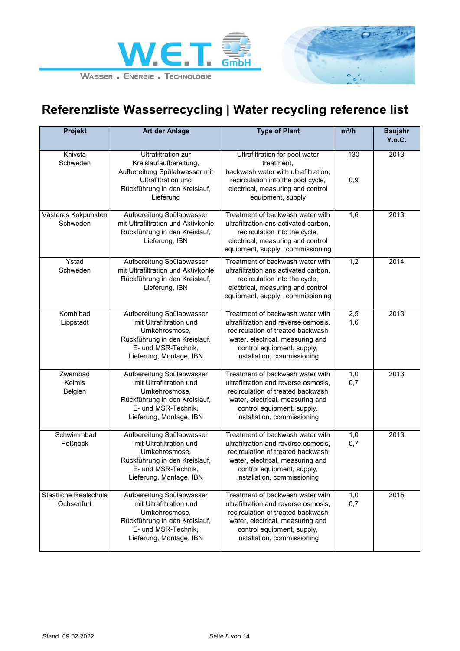



| <b>Projekt</b>                             | <b>Art der Anlage</b>                                                                                                                                             | <b>Type of Plant</b>                                                                                                                                                                                           | $m^3/h$    | <b>Baujahr</b><br>Y.o.C. |
|--------------------------------------------|-------------------------------------------------------------------------------------------------------------------------------------------------------------------|----------------------------------------------------------------------------------------------------------------------------------------------------------------------------------------------------------------|------------|--------------------------|
| Knivsta<br>Schweden                        | <b>Ultrafiltration zur</b><br>Kreislaufaufbereitung,<br>Aufbereitung Spülabwasser mit<br><b>Ultrafiltration und</b><br>Rückführung in den Kreislauf,<br>Lieferung | Ultrafiltration for pool water<br>treatment,<br>backwash water with ultrafiltration,<br>recirculation into the pool cycle,<br>electrical, measuring and control<br>equipment, supply                           | 130<br>0,9 | 2013                     |
| Västeras Kokpunkten<br>Schweden            | Aufbereitung Spülabwasser<br>mit Ultrafiltration und Aktivkohle<br>Rückführung in den Kreislauf,<br>Lieferung, IBN                                                | Treatment of backwash water with<br>ultrafiltration ans activated carbon,<br>recirculation into the cycle,<br>electrical, measuring and control<br>equipment, supply, commissioning                            | 1,6        | 2013                     |
| Ystad<br>Schweden                          | Aufbereitung Spülabwasser<br>mit Ultrafiltration und Aktivkohle<br>Rückführung in den Kreislauf,<br>Lieferung, IBN                                                | Treatment of backwash water with<br>ultrafiltration ans activated carbon,<br>recirculation into the cycle,<br>electrical, measuring and control<br>equipment, supply, commissioning                            | 1,2        | 2014                     |
| Kombibad<br>Lippstadt                      | Aufbereitung Spülabwasser<br>mit Ultrafiltration und<br>Umkehrosmose.<br>Rückführung in den Kreislauf,<br>E- und MSR-Technik,<br>Lieferung, Montage, IBN          | Treatment of backwash water with<br>ultrafiltration and reverse osmosis,<br>recirculation of treated backwash<br>water, electrical, measuring and<br>control equipment, supply,<br>installation, commissioning | 2,5<br>1,6 | 2013                     |
| Zwembad<br>Kelmis<br>Belgien               | Aufbereitung Spülabwasser<br>mit Ultrafiltration und<br>Umkehrosmose,<br>Rückführung in den Kreislauf,<br>E- und MSR-Technik,<br>Lieferung, Montage, IBN          | Treatment of backwash water with<br>ultrafiltration and reverse osmosis,<br>recirculation of treated backwash<br>water, electrical, measuring and<br>control equipment, supply,<br>installation, commissioning | 1,0<br>0,7 | 2013                     |
| Schwimmbad<br>Pößneck                      | Aufbereitung Spülabwasser<br>mit Ultrafiltration und<br>Umkehrosmose,<br>Rückführung in den Kreislauf,<br>E- und MSR-Technik,<br>Lieferung, Montage, IBN          | Treatment of backwash water with<br>ultrafiltration and reverse osmosis,<br>recirculation of treated backwash<br>water, electrical, measuring and<br>control equipment, supply,<br>installation, commissioning | 1,0<br>0,7 | 2013                     |
| <b>Staatliche Realschule</b><br>Ochsenfurt | Aufbereitung Spülabwasser<br>mit Ultrafiltration und<br>Umkehrosmose,<br>Rückführung in den Kreislauf,<br>E- und MSR-Technik,<br>Lieferung, Montage, IBN          | Treatment of backwash water with<br>ultrafiltration and reverse osmosis,<br>recirculation of treated backwash<br>water, electrical, measuring and<br>control equipment, supply,<br>installation, commissioning | 1,0<br>0,7 | 2015                     |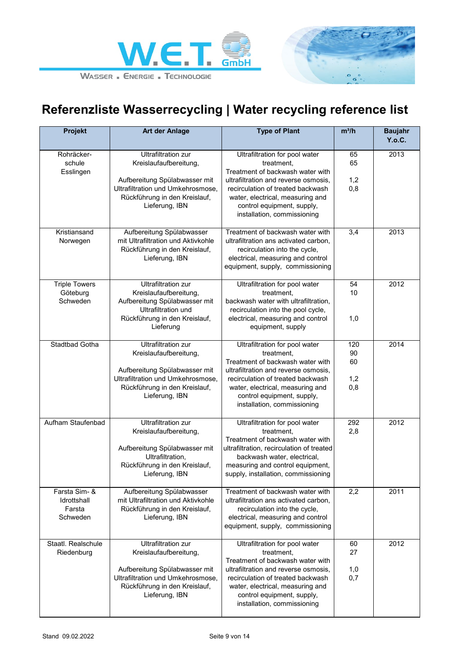



| <b>Projekt</b>                                     | <b>Art der Anlage</b>                                                                                                                                                         | <b>Type of Plant</b>                                                                                                                                                                                                                                           | $m^3/h$                       | <b>Baujahr</b><br>Y.o.C. |
|----------------------------------------------------|-------------------------------------------------------------------------------------------------------------------------------------------------------------------------------|----------------------------------------------------------------------------------------------------------------------------------------------------------------------------------------------------------------------------------------------------------------|-------------------------------|--------------------------|
| Rohräcker-<br>schule<br>Esslingen                  | <b>Ultrafiltration zur</b><br>Kreislaufaufbereitung,<br>Aufbereitung Spülabwasser mit<br>Ultrafiltration und Umkehrosmose,<br>Rückführung in den Kreislauf,<br>Lieferung, IBN | Ultrafiltration for pool water<br>treatment,<br>Treatment of backwash water with<br>ultrafiltration and reverse osmosis,<br>recirculation of treated backwash<br>water, electrical, measuring and<br>control equipment, supply,<br>installation, commissioning | 65<br>65<br>1,2<br>0,8        | 2013                     |
| Kristiansand<br>Norwegen                           | Aufbereitung Spülabwasser<br>mit Ultrafiltration und Aktivkohle<br>Rückführung in den Kreislauf,<br>Lieferung, IBN                                                            | Treatment of backwash water with<br>ultrafiltration ans activated carbon,<br>recirculation into the cycle,<br>electrical, measuring and control<br>equipment, supply, commissioning                                                                            | 3,4                           | 2013                     |
| <b>Triple Towers</b><br>Göteburg<br>Schweden       | <b>Ultrafiltration zur</b><br>Kreislaufaufbereitung,<br>Aufbereitung Spülabwasser mit<br>Ultrafiltration und<br>Rückführung in den Kreislauf,<br>Lieferung                    | Ultrafiltration for pool water<br>treatment.<br>backwash water with ultrafiltration,<br>recirculation into the pool cycle,<br>electrical, measuring and control<br>equipment, supply                                                                           | 54<br>10<br>1,0               | 2012                     |
| Stadtbad Gotha                                     | <b>Ultrafiltration zur</b><br>Kreislaufaufbereitung,<br>Aufbereitung Spülabwasser mit<br>Ultrafiltration und Umkehrosmose,<br>Rückführung in den Kreislauf,<br>Lieferung, IBN | Ultrafiltration for pool water<br>treatment,<br>Treatment of backwash water with<br>ultrafiltration and reverse osmosis,<br>recirculation of treated backwash<br>water, electrical, measuring and<br>control equipment, supply,<br>installation, commissioning | 120<br>90<br>60<br>1,2<br>0,8 | 2014                     |
| Aufham Staufenbad                                  | <b>Ultrafiltration zur</b><br>Kreislaufaufbereitung,<br>Aufbereitung Spülabwasser mit<br>Ultrafiltration,<br>Rückführung in den Kreislauf,<br>Lieferung, IBN                  | Ultrafiltration for pool water<br>treatment.<br>Treatment of backwash water with<br>ultrafiltration, recirculation of treated<br>backwash water, electrical,<br>measuring and control equipment,<br>supply, installation, commissioning                        | 292<br>2,8                    | 2012                     |
| Farsta Sim- &<br>Idrottshall<br>Farsta<br>Schweden | Aufbereitung Spülabwasser<br>mit Ultrafiltration und Aktivkohle<br>Rückführung in den Kreislauf,<br>Lieferung, IBN                                                            | Treatment of backwash water with<br>ultrafiltration ans activated carbon,<br>recirculation into the cycle,<br>electrical, measuring and control<br>equipment, supply, commissioning                                                                            | 2,2                           | 2011                     |
| Staatl. Realschule<br>Riedenburg                   | <b>Ultrafiltration zur</b><br>Kreislaufaufbereitung,<br>Aufbereitung Spülabwasser mit<br>Ultrafiltration und Umkehrosmose,<br>Rückführung in den Kreislauf,<br>Lieferung, IBN | Ultrafiltration for pool water<br>treatment,<br>Treatment of backwash water with<br>ultrafiltration and reverse osmosis,<br>recirculation of treated backwash<br>water, electrical, measuring and<br>control equipment, supply,<br>installation, commissioning | 60<br>27<br>1,0<br>0,7        | 2012                     |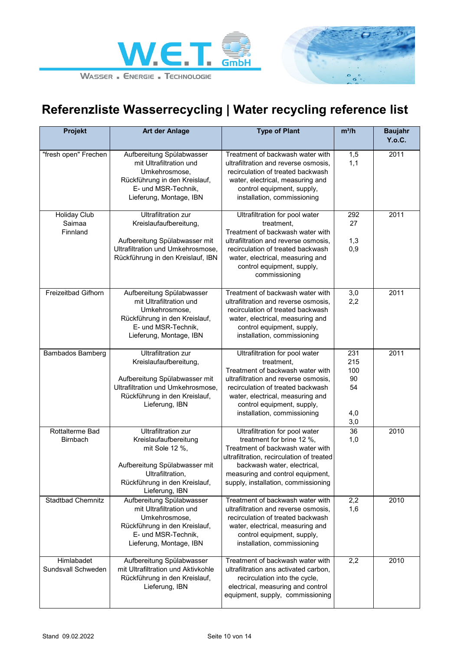



| <b>Projekt</b>                            | <b>Art der Anlage</b>                                                                                                                                                         | <b>Type of Plant</b>                                                                                                                                                                                                                                           | $m^3/h$                                     | <b>Baujahr</b><br>Y.o.C. |
|-------------------------------------------|-------------------------------------------------------------------------------------------------------------------------------------------------------------------------------|----------------------------------------------------------------------------------------------------------------------------------------------------------------------------------------------------------------------------------------------------------------|---------------------------------------------|--------------------------|
| "fresh open" Frechen                      | Aufbereitung Spülabwasser<br>mit Ultrafiltration und<br>Umkehrosmose,<br>Rückführung in den Kreislauf,<br>E- und MSR-Technik,<br>Lieferung, Montage, IBN                      | Treatment of backwash water with<br>ultrafiltration and reverse osmosis.<br>recirculation of treated backwash<br>water, electrical, measuring and<br>control equipment, supply,<br>installation, commissioning                                                 | 1,5<br>1,1                                  | 2011                     |
| <b>Holiday Club</b><br>Saimaa<br>Finnland | <b>Ultrafiltration zur</b><br>Kreislaufaufbereitung,<br>Aufbereitung Spülabwasser mit<br>Ultrafiltration und Umkehrosmose,<br>Rückführung in den Kreislauf, IBN               | Ultrafiltration for pool water<br>treatment,<br>Treatment of backwash water with<br>ultrafiltration and reverse osmosis,<br>recirculation of treated backwash<br>water, electrical, measuring and<br>control equipment, supply,<br>commissioning               | 292<br>27<br>1,3<br>0,9                     | 2011                     |
| <b>Freizeitbad Gifhorn</b>                | Aufbereitung Spülabwasser<br>mit Ultrafiltration und<br>Umkehrosmose.<br>Rückführung in den Kreislauf,<br>E- und MSR-Technik,<br>Lieferung, Montage, IBN                      | Treatment of backwash water with<br>ultrafiltration and reverse osmosis,<br>recirculation of treated backwash<br>water, electrical, measuring and<br>control equipment, supply,<br>installation, commissioning                                                 | 3,0<br>2,2                                  | 2011                     |
| <b>Bambados Bamberg</b>                   | <b>Ultrafiltration zur</b><br>Kreislaufaufbereitung,<br>Aufbereitung Spülabwasser mit<br>Ultrafiltration und Umkehrosmose,<br>Rückführung in den Kreislauf,<br>Lieferung, IBN | Ultrafiltration for pool water<br>treatment,<br>Treatment of backwash water with<br>ultrafiltration and reverse osmosis,<br>recirculation of treated backwash<br>water, electrical, measuring and<br>control equipment, supply,<br>installation, commissioning | 231<br>215<br>100<br>90<br>54<br>4,0<br>3,0 | 2011                     |
| Rottalterme Bad<br><b>Birnbach</b>        | <b>Ultrafiltration zur</b><br>Kreislaufaufbereitung<br>mit Sole 12 %,<br>Aufbereitung Spülabwasser mit<br>Ultrafiltration,<br>Rückführung in den Kreislauf,<br>Lieferung, IBN | Ultrafiltration for pool water<br>treatment for brine 12 %,<br>Treatment of backwash water with<br>ultrafiltration, recirculation of treated<br>backwash water, electrical,<br>measuring and control equipment,<br>supply, installation, commissioning         | 36<br>1,0                                   | 2010                     |
| <b>Stadtbad Chemnitz</b>                  | Aufbereitung Spülabwasser<br>mit Ultrafiltration und<br>Umkehrosmose,<br>Rückführung in den Kreislauf,<br>E- und MSR-Technik,<br>Lieferung, Montage, IBN                      | Treatment of backwash water with<br>ultrafiltration and reverse osmosis,<br>recirculation of treated backwash<br>water, electrical, measuring and<br>control equipment, supply,<br>installation, commissioning                                                 | 2,2<br>1,6                                  | 2010                     |
| Himlabadet<br>Sundsvall Schweden          | Aufbereitung Spülabwasser<br>mit Ultrafiltration und Aktivkohle<br>Rückführung in den Kreislauf,<br>Lieferung, IBN                                                            | Treatment of backwash water with<br>ultrafiltration ans activated carbon,<br>recirculation into the cycle,<br>electrical, measuring and control<br>equipment, supply, commissioning                                                                            | 2,2                                         | 2010                     |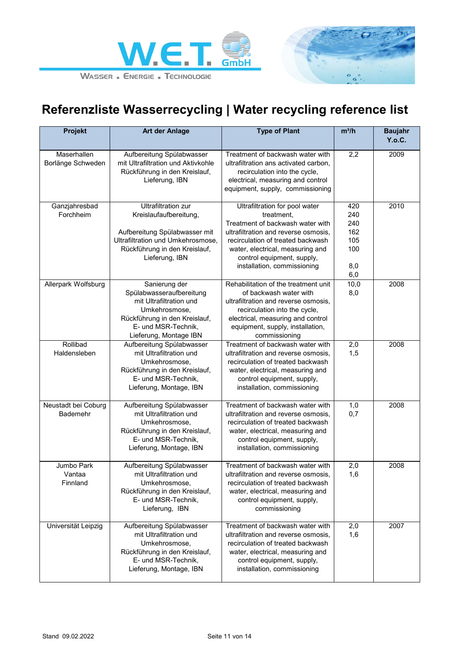



| Projekt                                | Art der Anlage                                                                                                                                                                | <b>Type of Plant</b>                                                                                                                                                                                                                                           | $m^3/h$                                              | <b>Baujahr</b><br><b>Y.o.C.</b> |
|----------------------------------------|-------------------------------------------------------------------------------------------------------------------------------------------------------------------------------|----------------------------------------------------------------------------------------------------------------------------------------------------------------------------------------------------------------------------------------------------------------|------------------------------------------------------|---------------------------------|
| Maserhallen<br>Borlänge Schweden       | Aufbereitung Spülabwasser<br>mit Ultrafiltration und Aktivkohle<br>Rückführung in den Kreislauf,<br>Lieferung, IBN                                                            | Treatment of backwash water with<br>ultrafiltration ans activated carbon,<br>recirculation into the cycle,<br>electrical, measuring and control<br>equipment, supply, commissioning                                                                            | 2,2                                                  | 2009                            |
| Ganzjahresbad<br>Forchheim             | <b>Ultrafiltration zur</b><br>Kreislaufaufbereitung,<br>Aufbereitung Spülabwasser mit<br>Ultrafiltration und Umkehrosmose,<br>Rückführung in den Kreislauf,<br>Lieferung, IBN | Ultrafiltration for pool water<br>treatment,<br>Treatment of backwash water with<br>ultrafiltration and reverse osmosis,<br>recirculation of treated backwash<br>water, electrical, measuring and<br>control equipment, supply,<br>installation, commissioning | 420<br>240<br>240<br>162<br>105<br>100<br>8,0<br>6,0 | 2010                            |
| Allerpark Wolfsburg                    | Sanierung der<br>Spülabwasseraufbereitung<br>mit Ultrafiltration und<br>Umkehrosmose,<br>Rückführung in den Kreislauf,<br>E- und MSR-Technik,<br>Lieferung, Montage IBN       | Rehabilitation of the treatment unit<br>of backwash water with<br>ultrafiltration and reverse osmosis,<br>recirculation into the cycle,<br>electrical, measuring and control<br>equipment, supply, installation,<br>commissioning                              | 10,0<br>8,0                                          | 2008                            |
| Rollibad<br>Haldensleben               | Aufbereitung Spülabwasser<br>mit Ultrafiltration und<br>Umkehrosmose,<br>Rückführung in den Kreislauf,<br>E- und MSR-Technik,<br>Lieferung, Montage, IBN                      | Treatment of backwash water with<br>ultrafiltration and reverse osmosis,<br>recirculation of treated backwash<br>water, electrical, measuring and<br>control equipment, supply,<br>installation, commissioning                                                 | 2,0<br>1,5                                           | 2008                            |
| Neustadt bei Coburg<br><b>Bademehr</b> | Aufbereitung Spülabwasser<br>mit Ultrafiltration und<br>Umkehrosmose.<br>Rückführung in den Kreislauf,<br>E- und MSR-Technik,<br>Lieferung, Montage, IBN                      | Treatment of backwash water with<br>ultrafiltration and reverse osmosis,<br>recirculation of treated backwash<br>water, electrical, measuring and<br>control equipment, supply,<br>installation, commissioning                                                 | 1,0<br>0,7                                           | 2008                            |
| Jumbo Park<br>Vantaa<br>Finnland       | Aufbereitung Spülabwasser<br>mit Ultrafiltration und<br>Umkehrosmose.<br>Rückführung in den Kreislauf,<br>E- und MSR-Technik,<br>Lieferung, IBN                               | Treatment of backwash water with<br>ultrafiltration and reverse osmosis,<br>recirculation of treated backwash<br>water, electrical, measuring and<br>control equipment, supply,<br>commissioning                                                               | 2,0<br>1,6                                           | 2008                            |
| Universität Leipzig                    | Aufbereitung Spülabwasser<br>mit Ultrafiltration und<br>Umkehrosmose.<br>Rückführung in den Kreislauf,<br>E- und MSR-Technik,<br>Lieferung, Montage, IBN                      | Treatment of backwash water with<br>ultrafiltration and reverse osmosis,<br>recirculation of treated backwash<br>water, electrical, measuring and<br>control equipment, supply,<br>installation, commissioning                                                 | 2,0<br>1,6                                           | 2007                            |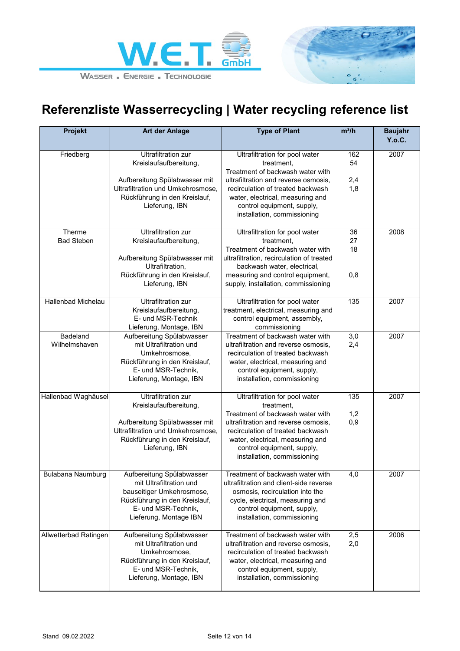



| Projekt                     | <b>Art der Anlage</b>                                                                                                                                                         | <b>Type of Plant</b>                                                                                                                                                                                                                                           | $m^3/h$                 | <b>Baujahr</b><br>Y.o.C. |
|-----------------------------|-------------------------------------------------------------------------------------------------------------------------------------------------------------------------------|----------------------------------------------------------------------------------------------------------------------------------------------------------------------------------------------------------------------------------------------------------------|-------------------------|--------------------------|
| Friedberg                   | <b>Ultrafiltration zur</b><br>Kreislaufaufbereitung,<br>Aufbereitung Spülabwasser mit<br>Ultrafiltration und Umkehrosmose,<br>Rückführung in den Kreislauf,<br>Lieferung, IBN | Ultrafiltration for pool water<br>treatment,<br>Treatment of backwash water with<br>ultrafiltration and reverse osmosis,<br>recirculation of treated backwash<br>water, electrical, measuring and<br>control equipment, supply,<br>installation, commissioning | 162<br>54<br>2,4<br>1,8 | 2007                     |
| Therme<br><b>Bad Steben</b> | <b>Ultrafiltration zur</b><br>Kreislaufaufbereitung,<br>Aufbereitung Spülabwasser mit<br>Ultrafiltration,<br>Rückführung in den Kreislauf,<br>Lieferung, IBN                  | Ultrafiltration for pool water<br>treatment,<br>Treatment of backwash water with<br>ultrafiltration, recirculation of treated<br>backwash water, electrical,<br>measuring and control equipment,<br>supply, installation, commissioning                        | 36<br>27<br>18<br>0,8   | 2008                     |
| Hallenbad Michelau          | <b>Ultrafiltration zur</b><br>Kreislaufaufbereitung,<br>E- und MSR-Technik<br>Lieferung, Montage, IBN                                                                         | Ultrafiltration for pool water<br>treatment, electrical, measuring and<br>control equipment, assembly,<br>commissioning                                                                                                                                        | 135                     | 2007                     |
| Badeland<br>Wilhelmshaven   | Aufbereitung Spülabwasser<br>mit Ultrafiltration und<br>Umkehrosmose,<br>Rückführung in den Kreislauf,<br>E- und MSR-Technik,<br>Lieferung, Montage, IBN                      | Treatment of backwash water with<br>ultrafiltration and reverse osmosis,<br>recirculation of treated backwash<br>water, electrical, measuring and<br>control equipment, supply,<br>installation, commissioning                                                 | 3,0<br>2,4              | 2007                     |
| Hallenbad Waghäusel         | <b>Ultrafiltration zur</b><br>Kreislaufaufbereitung,<br>Aufbereitung Spülabwasser mit<br>Ultrafiltration und Umkehrosmose,<br>Rückführung in den Kreislauf,<br>Lieferung, IBN | Ultrafiltration for pool water<br>treatment,<br>Treatment of backwash water with<br>ultrafiltration and reverse osmosis.<br>recirculation of treated backwash<br>water, electrical, measuring and<br>control equipment, supply,<br>installation, commissioning | 135<br>1,2<br>0,9       | 2007                     |
| Bulabana Naumburg           | Aufbereitung Spülabwasser<br>mit Ultrafiltration und<br>bauseitiger Umkehrosmose,<br>Rückführung in den Kreislauf,<br>E- und MSR-Technik,<br>Lieferung, Montage IBN           | Treatment of backwash water with<br>ultrafiltration and client-side reverse<br>osmosis, recirculation into the<br>cycle, electrical, measuring and<br>control equipment, supply,<br>installation, commissioning                                                | 4,0                     | 2007                     |
| Allwetterbad Ratingen       | Aufbereitung Spülabwasser<br>mit Ultrafiltration und<br>Umkehrosmose,<br>Rückführung in den Kreislauf,<br>E- und MSR-Technik,<br>Lieferung, Montage, IBN                      | Treatment of backwash water with<br>ultrafiltration and reverse osmosis,<br>recirculation of treated backwash<br>water, electrical, measuring and<br>control equipment, supply,<br>installation, commissioning                                                 | 2,5<br>2,0              | 2006                     |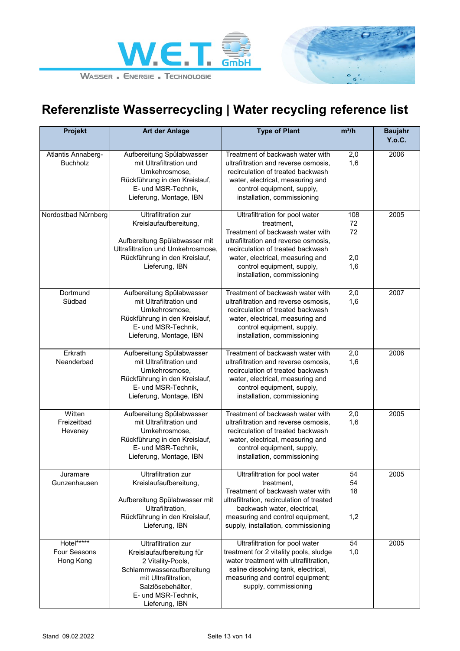



| <b>Projekt</b>                                 | <b>Art der Anlage</b>                                                                                                                                                                           | <b>Type of Plant</b>                                                                                                                                                                                                                                           | $m^3/h$                       | <b>Baujahr</b><br>Y.o.C. |
|------------------------------------------------|-------------------------------------------------------------------------------------------------------------------------------------------------------------------------------------------------|----------------------------------------------------------------------------------------------------------------------------------------------------------------------------------------------------------------------------------------------------------------|-------------------------------|--------------------------|
| Atlantis Annaberg-<br><b>Buchholz</b>          | Aufbereitung Spülabwasser<br>mit Ultrafiltration und<br>Umkehrosmose,<br>Rückführung in den Kreislauf,<br>E- und MSR-Technik,<br>Lieferung, Montage, IBN                                        | Treatment of backwash water with<br>ultrafiltration and reverse osmosis,<br>recirculation of treated backwash<br>water, electrical, measuring and<br>control equipment, supply,<br>installation, commissioning                                                 | 2,0<br>1,6                    | 2006                     |
| Nordostbad Nürnberg                            | <b>Ultrafiltration zur</b><br>Kreislaufaufbereitung,<br>Aufbereitung Spülabwasser mit<br>Ultrafiltration und Umkehrosmose,<br>Rückführung in den Kreislauf,<br>Lieferung, IBN                   | Ultrafiltration for pool water<br>treatment,<br>Treatment of backwash water with<br>ultrafiltration and reverse osmosis.<br>recirculation of treated backwash<br>water, electrical, measuring and<br>control equipment, supply,<br>installation, commissioning | 108<br>72<br>72<br>2,0<br>1,6 | 2005                     |
| Dortmund<br>Südbad                             | Aufbereitung Spülabwasser<br>mit Ultrafiltration und<br>Umkehrosmose,<br>Rückführung in den Kreislauf,<br>E- und MSR-Technik,<br>Lieferung, Montage, IBN                                        | Treatment of backwash water with<br>ultrafiltration and reverse osmosis.<br>recirculation of treated backwash<br>water, electrical, measuring and<br>control equipment, supply,<br>installation, commissioning                                                 | 2,0<br>1,6                    | 2007                     |
| Erkrath<br>Neanderbad                          | Aufbereitung Spülabwasser<br>mit Ultrafiltration und<br>Umkehrosmose,<br>Rückführung in den Kreislauf,<br>E- und MSR-Technik.<br>Lieferung, Montage, IBN                                        | Treatment of backwash water with<br>ultrafiltration and reverse osmosis,<br>recirculation of treated backwash<br>water, electrical, measuring and<br>control equipment, supply,<br>installation, commissioning                                                 | 2,0<br>1,6                    | 2006                     |
| Witten<br>Freizeitbad<br>Heveney               | Aufbereitung Spülabwasser<br>mit Ultrafiltration und<br>Umkehrosmose,<br>Rückführung in den Kreislauf,<br>E- und MSR-Technik,<br>Lieferung, Montage, IBN                                        | Treatment of backwash water with<br>ultrafiltration and reverse osmosis.<br>recirculation of treated backwash<br>water, electrical, measuring and<br>control equipment, supply,<br>installation, commissioning                                                 | 2,0<br>1,6                    | 2005                     |
| Juramare<br>Gunzenhausen                       | <b>Ultrafiltration zur</b><br>Kreislaufaufbereitung,<br>Aufbereitung Spülabwasser mit<br>Ultrafiltration,<br>Rückführung in den Kreislauf,<br>Lieferung, IBN                                    | Ultrafiltration for pool water<br>treatment,<br>Treatment of backwash water with<br>ultrafiltration, recirculation of treated<br>backwash water, electrical,<br>measuring and control equipment,<br>supply, installation, commissioning                        | 54<br>54<br>18<br>1,2         | 2005                     |
| Hotel*****<br><b>Four Seasons</b><br>Hong Kong | <b>Ultrafiltration zur</b><br>Kreislaufaufbereitung für<br>2 Vitality-Pools,<br>Schlammwasseraufbereitung<br>mit Ultrafiltration,<br>Salzlösebehälter,<br>E- und MSR-Technik,<br>Lieferung, IBN | Ultrafiltration for pool water<br>treatment for 2 vitality pools, sludge<br>water treatment with ultrafiltration,<br>saline dissolving tank, electrical,<br>measuring and control equipment;<br>supply, commissioning                                          | 54<br>1,0                     | 2005                     |